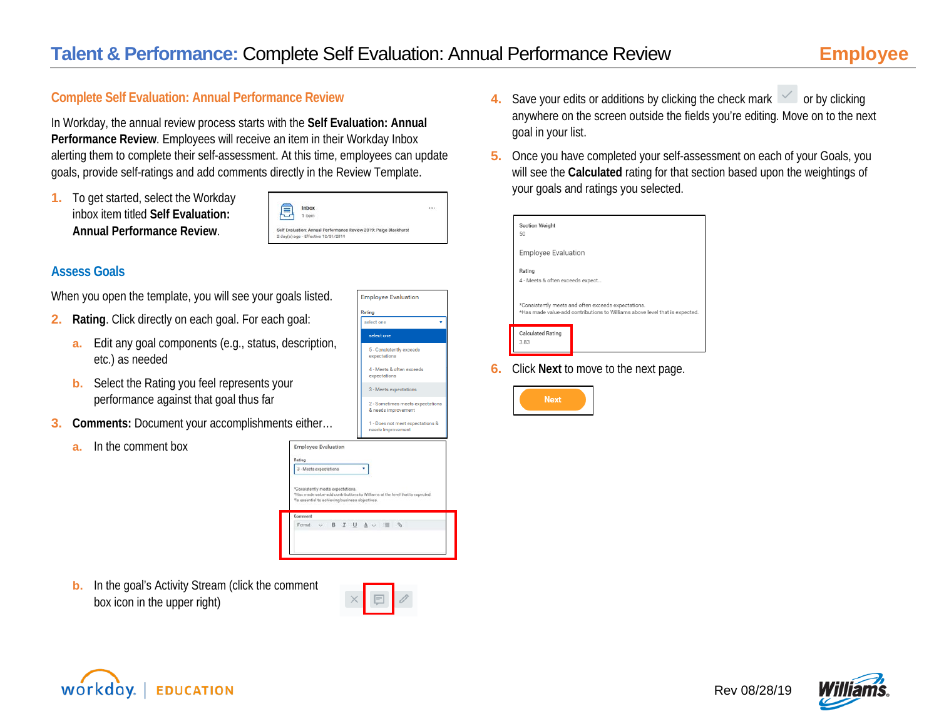### **Complete Self Evaluation: Annual Performance Review**

In Workday, the annual review process starts with the **Self Evaluation: Annual Performance Review**. Employees will receive an item in their Workday Inbox alerting them to complete their self-assessment. At this time, employees can update goals, provide self-ratings and add comments directly in the Review Template.

**1.** To get started, select the Workday inbox item titled **Self Evaluation: Annual Performance Review**.

| Inbox                                                             |  |
|-------------------------------------------------------------------|--|
| 1 item                                                            |  |
|                                                                   |  |
|                                                                   |  |
| Self Evaluation: Annual Performance Review 2019: Paige Blackhurst |  |
| 2 day(s) ago - Effective 12/31/2019                               |  |
|                                                                   |  |

### **Assess Goals**

When you open the template, you will see your goals listed.

- **2. Rating**. Click directly on each goal. For each goal:
	- **a.** Edit any goal components (e.g., status, description, etc.) as needed
	- **b.** Select the Rating you feel represents your performance against that goal thus far
- **3. Comments:** Document your accomplishments either…
	- **a.** In the comment box



**Employee Evaluation** 

selections select one 5 - Consistently exceed: 4 - Meets & often exceed expectations

**b.** In the goal's Activity Stream (click the comment box icon in the upper right)



- **4.** Save your edits or additions by clicking the check mark  $\leq$  or by clicking anywhere on the screen outside the fields you're editing. Move on to the next goal in your list.
- **5.** Once you have completed your self-assessment on each of your Goals, you will see the **Calculated** rating for that section based upon the weightings of your goals and ratings you selected.

| Section Weight<br>50                       |                                                                                                                                    |
|--------------------------------------------|------------------------------------------------------------------------------------------------------------------------------------|
| <b>Employee Evaluation</b>                 |                                                                                                                                    |
| Rating<br>4 - Meets & often exceeds expect |                                                                                                                                    |
|                                            | *Consistently meets and often exceeds expectations.<br>*Has made value-add contributions to Williams above level that is expected. |
| <b>Calculated Rating</b><br>3.83           |                                                                                                                                    |

**6.** Click **Next** to move to the next page.





Rev 08/28/19

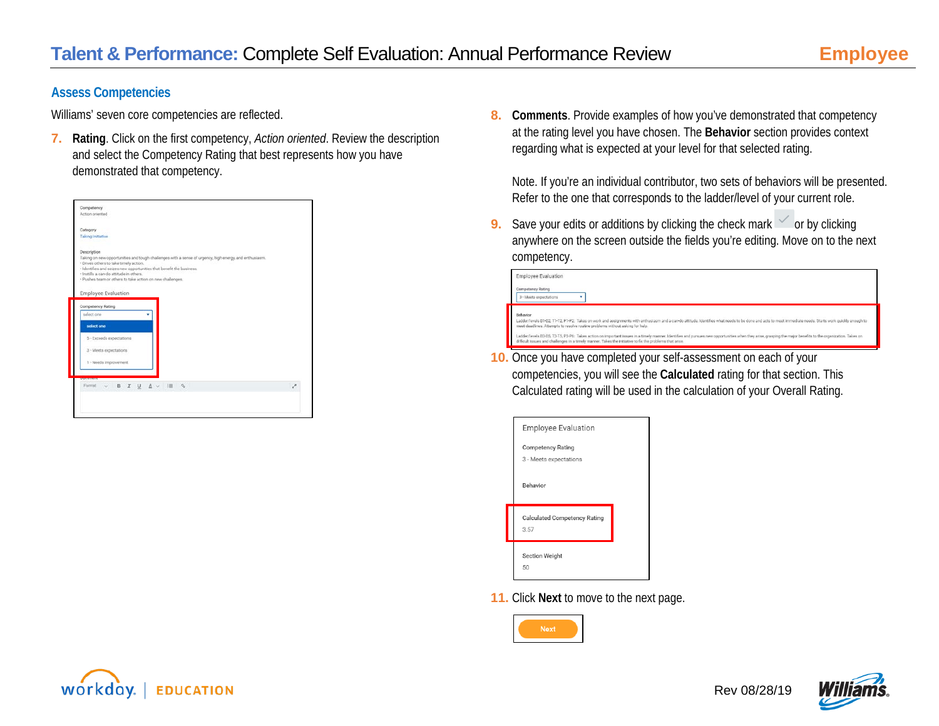#### **Assess Competencies**

Williams' seven core competencies are reflected.

**7. Rating**. Click on the first competency, *Action oriented*. Review the description and select the Competency Rating that best represents how you have demonstrated that competency.

| Competency                                                                                                                                     |                                                                                                                                                                                |   |
|------------------------------------------------------------------------------------------------------------------------------------------------|--------------------------------------------------------------------------------------------------------------------------------------------------------------------------------|---|
|                                                                                                                                                |                                                                                                                                                                                |   |
| Action oriented                                                                                                                                |                                                                                                                                                                                |   |
| Category                                                                                                                                       |                                                                                                                                                                                |   |
| <b>Taking Initiative</b>                                                                                                                       |                                                                                                                                                                                |   |
| <b>Description</b>                                                                                                                             |                                                                                                                                                                                |   |
| · Drives others to take timely action.<br>· Instills a can do attitude in others.<br>· Pushes team or others to take action on new challenges. | Taking on new opportunities and tough challenges with a sense of urgency, high energy, and enthusiasm.<br>· Identifies and seizes new opportunities that benefit the business. |   |
| Employee Evaluation<br>Competency Rating                                                                                                       |                                                                                                                                                                                |   |
| select one                                                                                                                                     |                                                                                                                                                                                |   |
| select one                                                                                                                                     |                                                                                                                                                                                |   |
| 5 - Exceeds expectations                                                                                                                       |                                                                                                                                                                                |   |
|                                                                                                                                                |                                                                                                                                                                                |   |
| 3 - Meets expectations                                                                                                                         |                                                                                                                                                                                |   |
|                                                                                                                                                |                                                                                                                                                                                |   |
| 1 - Needs improvement                                                                                                                          |                                                                                                                                                                                |   |
| <b>CONSIGNIALS</b><br>Format v B I U A v III &                                                                                                 |                                                                                                                                                                                | È |

**8. Comments**. Provide examples of how you've demonstrated that competency at the rating level you have chosen. The **Behavior** section provides context regarding what is expected at your level for that selected rating.

Note. If you're an individual contributor, two sets of behaviors will be presented. Refer to the one that corresponds to the ladder/level of your current role.

**9.** Save your edits or additions by clicking the check mark or by clicking anywhere on the screen outside the fields you're editing. Move on to the next competency.

| <b>Employee Evaluation</b><br><b>Competency Rating</b><br>3 - Meets expectations |                                                                                                                                                                                                                                                                                                                         |
|----------------------------------------------------------------------------------|-------------------------------------------------------------------------------------------------------------------------------------------------------------------------------------------------------------------------------------------------------------------------------------------------------------------------|
| Behavior                                                                         | Ladder/levels B1-B2, T1-T2, P1-P2: Takes on work and assignments with enthusiasm and a can-do attitude, Identifies what needs to be done and acts to meet immediate needs. Starts work quickly enough to<br>meet deadlines. Attempts to resolve routine problems without asking for help.                               |
|                                                                                  | Ladder/levels B3-B5, T3-T5, P3-P6: Takes action on important issues in a timely manner. Identifies and pursues new opportunities when they arise, grasping the major benefits to the organization. Takes on<br>difficult issues and challenges in a timely manner. Takes the initiative to fix the problems that arise. |

**10.** Once you have completed your self-assessment on each of your competencies, you will see the **Calculated** rating for that section. This Calculated rating will be used in the calculation of your Overall Rating.

| <b>Employee Evaluation</b>                         |  |
|----------------------------------------------------|--|
| <b>Competency Rating</b><br>3 - Meets expectations |  |
| Behavior                                           |  |
| <b>Calculated Competency Rating</b><br>3.57        |  |
| <b>Section Weight</b><br>50                        |  |

**11.** Click **Next** to move to the next page.